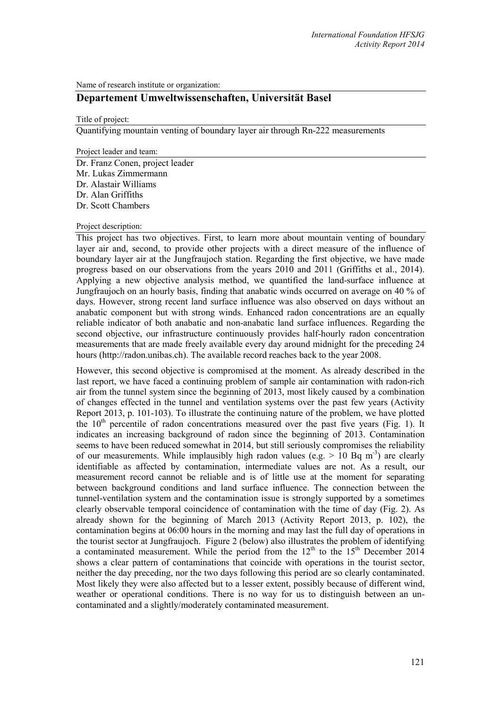Name of research institute or organization:

# **Departement Umweltwissenschaften, Universität Basel**

Title of project:

Quantifying mountain venting of boundary layer air through Rn-222 measurements

Project leader and team:

Dr. Franz Conen, project leader Mr. Lukas Zimmermann Dr. Alastair Williams Dr. Alan Griffiths Dr. Scott Chambers

#### Project description:

This project has two objectives. First, to learn more about mountain venting of boundary layer air and, second, to provide other projects with a direct measure of the influence of boundary layer air at the Jungfraujoch station. Regarding the first objective, we have made progress based on our observations from the years 2010 and 2011 (Griffiths et al., 2014). Applying a new objective analysis method, we quantified the land-surface influence at Jungfraujoch on an hourly basis, finding that anabatic winds occurred on average on 40 % of days. However, strong recent land surface influence was also observed on days without an anabatic component but with strong winds. Enhanced radon concentrations are an equally reliable indicator of both anabatic and non-anabatic land surface influences. Regarding the second objective, our infrastructure continuously provides half-hourly radon concentration measurements that are made freely available every day around midnight for the preceding 24 hours (http://radon.unibas.ch). The available record reaches back to the year 2008.

However, this second objective is compromised at the moment. As already described in the last report, we have faced a continuing problem of sample air contamination with radon-rich air from the tunnel system since the beginning of 2013, most likely caused by a combination of changes effected in the tunnel and ventilation systems over the past few years (Activity Report 2013, p. 101-103). To illustrate the continuing nature of the problem, we have plotted the  $10<sup>th</sup>$  percentile of radon concentrations measured over the past five years (Fig. 1). It indicates an increasing background of radon since the beginning of 2013. Contamination seems to have been reduced somewhat in 2014, but still seriously compromises the reliability of our measurements. While implausibly high radon values (e.g.  $> 10$  Bq m<sup>-3</sup>) are clearly identifiable as affected by contamination, intermediate values are not. As a result, our measurement record cannot be reliable and is of little use at the moment for separating between background conditions and land surface influence. The connection between the tunnel-ventilation system and the contamination issue is strongly supported by a sometimes clearly observable temporal coincidence of contamination with the time of day (Fig. 2). As already shown for the beginning of March 2013 (Activity Report 2013, p. 102), the contamination begins at 06:00 hours in the morning and may last the full day of operations in the tourist sector at Jungfraujoch. Figure 2 (below) also illustrates the problem of identifying a contaminated measurement. While the period from the  $12<sup>th</sup>$  to the  $15<sup>th</sup>$  December 2014 shows a clear pattern of contaminations that coincide with operations in the tourist sector, neither the day preceding, nor the two days following this period are so clearly contaminated. Most likely they were also affected but to a lesser extent, possibly because of different wind, weather or operational conditions. There is no way for us to distinguish between an uncontaminated and a slightly/moderately contaminated measurement.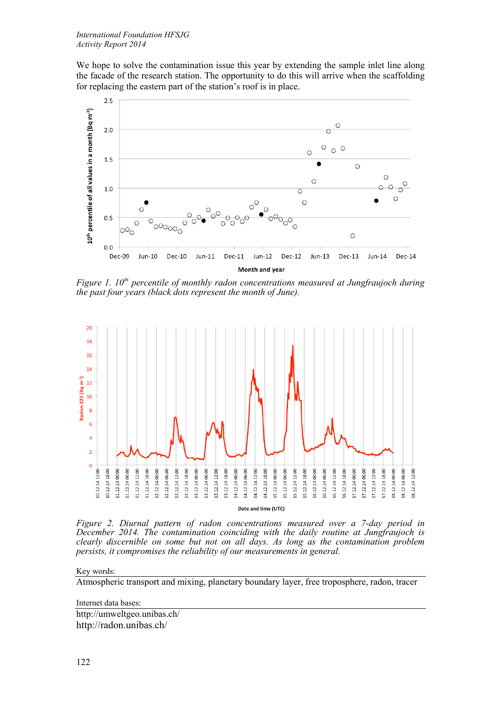We hope to solve the contamination issue this year by extending the sample inlet line along the facade of the research station. The opportunity to do this will arrive when the scaffolding for replacing the eastern part of the station's roof is in place.



*Figure 1. 10<sup>th</sup> percentile of monthly radon concentrations measured at Jungfraujoch during the past four years (black dots represent the month of June).*



*Figure 2. Diurnal pattern of radon concentrations measured over a 7-day period in December 2014. The contamination coinciding with the daily routine at Jungfraujoch is clearly discernible on some but not on all days. As long as the contamination problem persists, it compromises the reliability of our measurements in general.*

## Key words:

Atmospheric transport and mixing, planetary boundary layer, free troposphere, radon, tracer

Internet data bases:

http://umweltgeo.unibas.ch/ http://radon.unibas.ch/